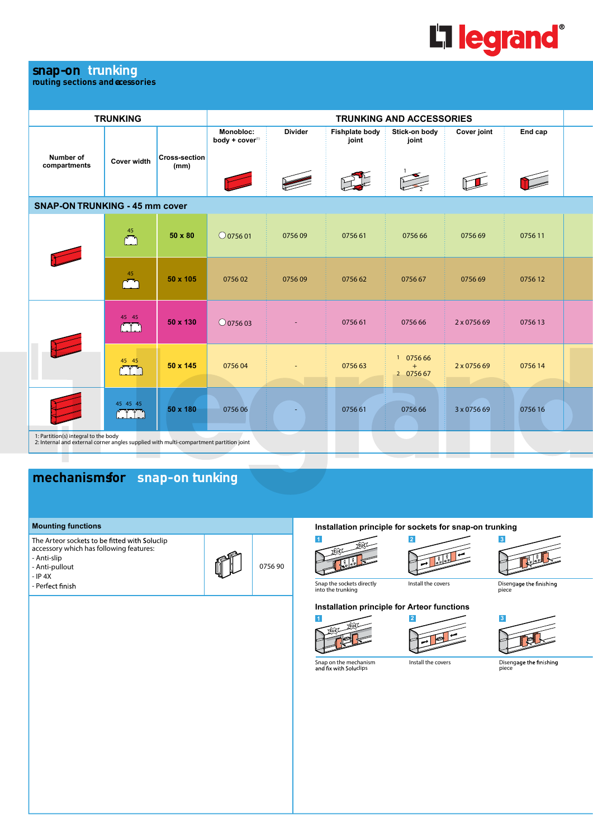

## **snap-on trunking**

**routing sections and accessories**

|                                                                                                                                                            | <b>TRUNKING</b>        |                       | <b>TRUNKING AND ACCESSORIES</b> |                |                                |                                                                                                                           |             |                                            |  |  |
|------------------------------------------------------------------------------------------------------------------------------------------------------------|------------------------|-----------------------|---------------------------------|----------------|--------------------------------|---------------------------------------------------------------------------------------------------------------------------|-------------|--------------------------------------------|--|--|
| Number of<br>compartments                                                                                                                                  | <b>Cover width</b>     | Cross-section<br>(mm) | Monobloc:<br>body + cover(1)    | <b>Divider</b> | <b>Fishplate body</b><br>joint | Stick-on body<br>joint                                                                                                    | Cover joint | End cap                                    |  |  |
|                                                                                                                                                            |                        |                       |                                 |                |                                | $\sum_{i=1}^{n}$                                                                                                          |             | <b>Contract Contract Contract Contract</b> |  |  |
| <b>SNAP-ON TRUNKING - 45 mm cover</b>                                                                                                                      |                        |                       |                                 |                |                                |                                                                                                                           |             |                                            |  |  |
|                                                                                                                                                            | 45                     | 50 x 80               | $\bigcirc$ 0756 01              | 075609         | 0756 61                        | 0756 66                                                                                                                   | 075669      | 075611                                     |  |  |
|                                                                                                                                                            | 45<br>سان سال بار<br>م | 50 x 105              | 075602                          | 075609         | 0756 62                        | 075667                                                                                                                    | 075669      | 075612                                     |  |  |
|                                                                                                                                                            | 45 45                  | 50 x 130              | $\bigcirc$ 0756 03              |                | 0756 61                        | 0756 66                                                                                                                   | 2 x 0756 69 | 075613                                     |  |  |
|                                                                                                                                                            | 45 45                  | 50 x 145              | 075604                          |                | 0756 63                        | 0756 66<br>$\mathbf{1}$<br>$+$<br>2 0756 67                                                                               | 2 x 0756 69 | 075614                                     |  |  |
|                                                                                                                                                            | 45 45 45               | 50 x 180              | 075606                          |                | 075661                         | and the state of the state of the state of the state of the state of the state of the state of the state of th<br>0756 66 | 3 x 0756 69 | 075616                                     |  |  |
| 1: Partition(s) integral to the body<br>2: Internal and external corner angles supplied with multi-compartment partition joint<br><b>Contract Contract</b> |                        |                       |                                 |                |                                |                                                                                                                           |             |                                            |  |  |

# **mechanisms for snap-on tunking**

### **Mounting functions**

The Arteor sockets to be fitted with Soluclip accessory which has following features:

- Anti-slip
- Anti-pullout
- $-$  IP 4X
- Perfect finish

0756 90

**Installation principle for sockets for snap-on trunking**





Install the covers



Disengage the finishing<br>piece

Snap the sockets directly into the trunking







Snap on the mechanism<br>and fix with Soluclips

Install the covers **Disengage the finishing**<br>
piece